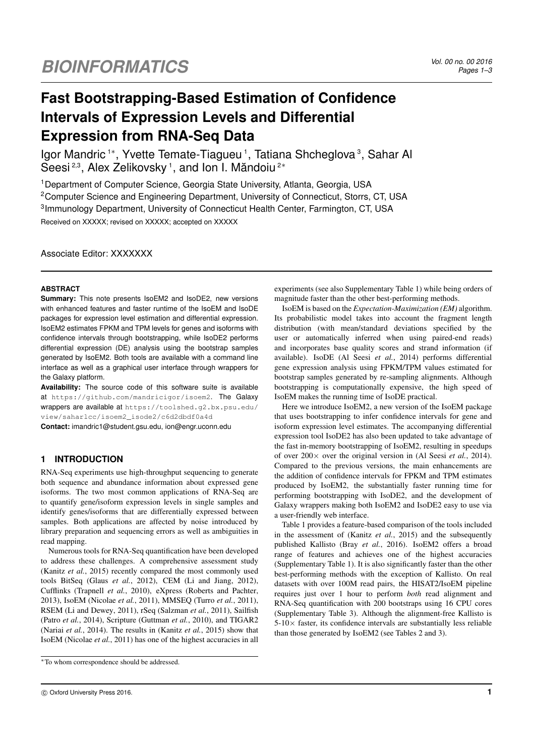# **Fast Bootstrapping-Based Estimation of Confidence Intervals of Expression Levels and Differential Expression from RNA-Seq Data**

Igor Mandric<sup>1\*</sup>, Yvette Temate-Tiagueu<sup>1</sup>, Tatiana Shcheglova<sup>3</sup>, Sahar Al Seesi<sup>2,3</sup>, Alex Zelikovsky<sup>1</sup>, and Ion I. Măndoiu<sup>2\*</sup>

<sup>1</sup> Department of Computer Science, Georgia State University, Atlanta, Georgia, USA <sup>2</sup>Computer Science and Engineering Department, University of Connecticut, Storrs, CT, USA <sup>3</sup>Immunology Department, University of Connecticut Health Center, Farmington, CT, USA Received on XXXXX; revised on XXXXX; accepted on XXXXX

Associate Editor: XXXXXXX

#### **ABSTRACT**

**Summary:** This note presents IsoEM2 and IsoDE2, new versions with enhanced features and faster runtime of the IsoEM and IsoDE packages for expression level estimation and differential expression. IsoEM2 estimates FPKM and TPM levels for genes and isoforms with confidence intervals through bootstrapping, while IsoDE2 performs differential expression (DE) analysis using the bootstrap samples generated by IsoEM2. Both tools are available with a command line interface as well as a graphical user interface through wrappers for the Galaxy platform.

**Availability:** The source code of this software suite is available at https://github.com/mandricigor/isoem2. The Galaxy wrappers are available at https://toolshed.g2.bx.psu.edu/ view/saharlcc/isoem2\_isode2/c6d2dbdf0a4d

**Contact:** imandric1@student.gsu.edu, ion@engr.uconn.edu

# **1 INTRODUCTION**

RNA-Seq experiments use high-throughput sequencing to generate both sequence and abundance information about expressed gene isoforms. The two most common applications of RNA-Seq are to quantify gene/isoform expression levels in single samples and identify genes/isoforms that are differentially expressed between samples. Both applications are affected by noise introduced by library preparation and sequencing errors as well as ambiguities in read mapping.

Numerous tools for RNA-Seq quantification have been developed to address these challenges. A comprehensive assessment study (Kanitz *et al.*, 2015) recently compared the most commonly used tools BitSeq (Glaus *et al.*, 2012), CEM (Li and Jiang, 2012), Cufflinks (Trapnell *et al.*, 2010), eXpress (Roberts and Pachter, 2013), IsoEM (Nicolae *et al.*, 2011), MMSEQ (Turro *et al.*, 2011), RSEM (Li and Dewey, 2011), rSeq (Salzman *et al.*, 2011), Sailfish (Patro *et al.*, 2014), Scripture (Guttman *et al.*, 2010), and TIGAR2 (Nariai *et al.*, 2014). The results in (Kanitz *et al.*, 2015) show that IsoEM (Nicolae *et al.*, 2011) has one of the highest accuracies in all

experiments (see also Supplementary Table 1) while being orders of magnitude faster than the other best-performing methods.

IsoEM is based on the *Expectation-Maximization (EM)* algorithm. Its probabilistic model takes into account the fragment length distribution (with mean/standard deviations specified by the user or automatically inferred when using paired-end reads) and incorporates base quality scores and strand information (if available). IsoDE (Al Seesi *et al.*, 2014) performs differential gene expression analysis using FPKM/TPM values estimated for bootstrap samples generated by re-sampling alignments. Although bootstrapping is computationally expensive, the high speed of IsoEM makes the running time of IsoDE practical.

Here we introduce IsoEM2, a new version of the IsoEM package that uses bootstrapping to infer confidence intervals for gene and isoform expression level estimates. The accompanying differential expression tool IsoDE2 has also been updated to take advantage of the fast in-memory bootstrapping of IsoEM2, resulting in speedups of over 200× over the original version in (Al Seesi *et al.*, 2014). Compared to the previous versions, the main enhancements are the addition of confidence intervals for FPKM and TPM estimates produced by IsoEM2, the substantially faster running time for performing bootstrapping with IsoDE2, and the development of Galaxy wrappers making both IsoEM2 and IsoDE2 easy to use via a user-friendly web interface.

Table 1 provides a feature-based comparison of the tools included in the assessment of (Kanitz *et al.*, 2015) and the subsequently published Kallisto (Bray *et al.*, 2016). IsoEM2 offers a broad range of features and achieves one of the highest accuracies (Supplementary Table 1). It is also significantly faster than the other best-performing methods with the exception of Kallisto. On real datasets with over 100M read pairs, the HISAT2/IsoEM pipeline requires just over 1 hour to perform *both* read alignment and RNA-Seq quantification with 200 bootstraps using 16 CPU cores (Supplementary Table 3). Although the alignment-free Kallisto is  $5-10\times$  faster, its confidence intervals are substantially less reliable than those generated by IsoEM2 (see Tables 2 and 3).

<sup>∗</sup>To whom correspondence should be addressed.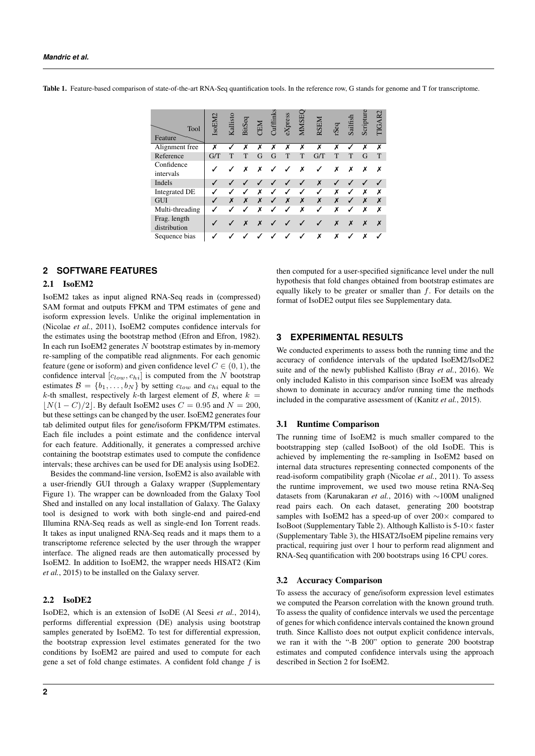Table 1. Feature-based comparison of state-of-the-art RNA-Seq quantification tools. In the reference row, G stands for genome and T for transcriptome.

| Tool<br>Feature              | IsoEM2 | Kallisto | BitSeq | <b>NE</b> | <b>Jufflink</b> | eXpress      | MMSE | RSEM         | rSeq | Sailfish     | Scripture | <b>TIGAR2</b> |
|------------------------------|--------|----------|--------|-----------|-----------------|--------------|------|--------------|------|--------------|-----------|---------------|
| Alignment free               | X      |          | Х      | X         | Х               | Х            | Х    | X            | Х    | $\checkmark$ | X         | x             |
| Reference                    | G/T    | T        | T      | G         | G               | T            | T    | G/T          | T    | T            | G         |               |
| Confidence<br>intervals      |        |          | x      | x         |                 |              | X    |              | x    | X            | х         | х             |
| Indels                       |        |          |        |           |                 |              | ✓    | X            |      |              |           |               |
| <b>Integrated DE</b>         | ✔      | √        |        | x         | J               | ✓            | ✓    | ✓            | Х    | ✓            | Х         | х             |
| <b>GUI</b>                   |        | X        | X      | X         | ✓               | X            | X    | X            | X    | $\checkmark$ | X         | X             |
| Multi-threading              | J      |          |        | x         |                 | $\checkmark$ | Х    | $\checkmark$ | X    | $\checkmark$ | х         | х             |
| Frag. length<br>distribution |        |          | X      | X         |                 |              |      |              | X    | X            | X         | X             |
| Sequence bias                |        |          |        |           |                 |              |      | Х            | x    |              | х         |               |

# **2 SOFTWARE FEATURES**

#### 2.1 IsoEM2

IsoEM2 takes as input aligned RNA-Seq reads in (compressed) SAM format and outputs FPKM and TPM estimates of gene and isoform expression levels. Unlike the original implementation in (Nicolae *et al.*, 2011), IsoEM2 computes confidence intervals for the estimates using the bootstrap method (Efron and Efron, 1982). In each run IsoEM2 generates  $N$  bootstrap estimates by in-memory re-sampling of the compatible read alignments. For each genomic feature (gene or isoform) and given confidence level  $C \in (0, 1)$ , the confidence interval  $[c_{low}, c_{hi}]$  is computed from the N bootstrap estimates  $\mathcal{B} = \{b_1, \ldots, b_N\}$  by setting  $c_{low}$  and  $c_{hi}$  equal to the k-th smallest, respectively k-th largest element of  $\beta$ , where  $k =$  $|N(1 - C)/2|$ . By default IsoEM2 uses  $C = 0.95$  and  $N = 200$ , but these settings can be changed by the user. IsoEM2 generates four tab delimited output files for gene/isoform FPKM/TPM estimates. Each file includes a point estimate and the confidence interval for each feature. Additionally, it generates a compressed archive containing the bootstrap estimates used to compute the confidence intervals; these archives can be used for DE analysis using IsoDE2.

Besides the command-line version, IsoEM2 is also available with a user-friendly GUI through a Galaxy wrapper (Supplementary Figure 1). The wrapper can be downloaded from the Galaxy Tool Shed and installed on any local installation of Galaxy. The Galaxy tool is designed to work with both single-end and paired-end Illumina RNA-Seq reads as well as single-end Ion Torrent reads. It takes as input unaligned RNA-Seq reads and it maps them to a transcriptome reference selected by the user through the wrapper interface. The aligned reads are then automatically processed by IsoEM2. In addition to IsoEM2, the wrapper needs HISAT2 (Kim *et al.*, 2015) to be installed on the Galaxy server.

## 2.2 IsoDE2

IsoDE2, which is an extension of IsoDE (Al Seesi *et al.*, 2014), performs differential expression (DE) analysis using bootstrap samples generated by IsoEM2. To test for differential expression, the bootstrap expression level estimates generated for the two conditions by IsoEM2 are paired and used to compute for each gene a set of fold change estimates. A confident fold change  $f$  is then computed for a user-specified significance level under the null hypothesis that fold changes obtained from bootstrap estimates are equally likely to be greater or smaller than  $f$ . For details on the format of IsoDE2 output files see Supplementary data.

## **3 EXPERIMENTAL RESULTS**

We conducted experiments to assess both the running time and the accuracy of confidence intervals of the updated IsoEM2/IsoDE2 suite and of the newly published Kallisto (Bray *et al.*, 2016). We only included Kalisto in this comparison since IsoEM was already shown to dominate in accuracy and/or running time the methods included in the comparative assessment of (Kanitz *et al.*, 2015).

#### 3.1 Runtime Comparison

The running time of IsoEM2 is much smaller compared to the bootstrapping step (called IsoBoot) of the old IsoDE. This is achieved by implementing the re-sampling in IsoEM2 based on internal data structures representing connected components of the read-isoform compatibility graph (Nicolae *et al.*, 2011). To assess the runtime improvement, we used two mouse retina RNA-Seq datasets from (Karunakaran *et al.*, 2016) with ∼100M unaligned read pairs each. On each dataset, generating 200 bootstrap samples with IsoEM2 has a speed-up of over  $200 \times$  compared to IsoBoot (Supplementary Table 2). Although Kallisto is  $5-10\times$  faster (Supplementary Table 3), the HISAT2/IsoEM pipeline remains very practical, requiring just over 1 hour to perform read alignment and RNA-Seq quantification with 200 bootstraps using 16 CPU cores.

#### 3.2 Accuracy Comparison

To assess the accuracy of gene/isoform expression level estimates we computed the Pearson correlation with the known ground truth. To assess the quality of confidence intervals we used the percentage of genes for which confidence intervals contained the known ground truth. Since Kallisto does not output explicit confidence intervals, we ran it with the "-B 200" option to generate 200 bootstrap estimates and computed confidence intervals using the approach described in Section 2 for IsoEM2.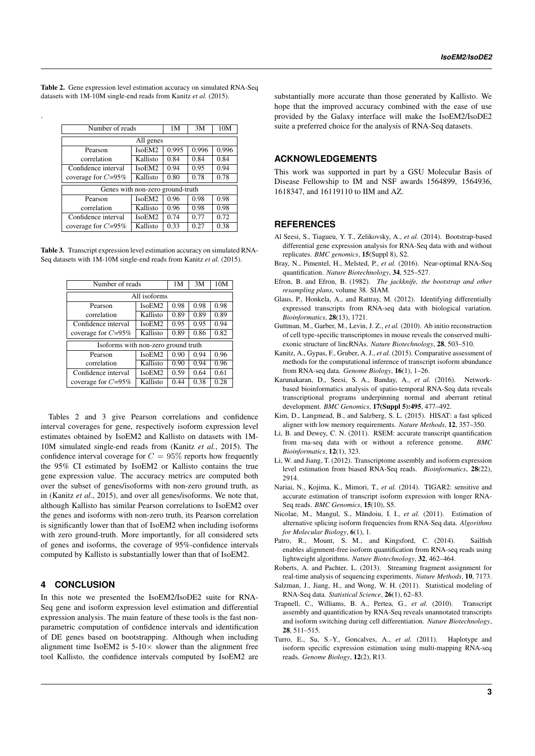Table 2. Gene expression level estimation accuracy on simulated RNA-Seq datasets with 1M-10M single-end reads from Kanitz *et al.* (2015).

.

| Number of reads                  | 1M       | 3M   | 10M  |      |  |  |  |  |
|----------------------------------|----------|------|------|------|--|--|--|--|
| All genes                        |          |      |      |      |  |  |  |  |
| Pearson                          | IsoEM2   |      |      |      |  |  |  |  |
| correlation                      | 0.84     | 0.84 | 0.84 |      |  |  |  |  |
| Confidence interval              | 0.94     | 0.95 | 0.94 |      |  |  |  |  |
| coverage for $C=95\%$            | 0.80     | 0.78 | 0.78 |      |  |  |  |  |
| Genes with non-zero ground-truth |          |      |      |      |  |  |  |  |
| Pearson                          | IsoEM2   | 0.96 | 0.98 | 0.98 |  |  |  |  |
| correlation                      | 0.96     | 0.98 | 0.98 |      |  |  |  |  |
| Confidence interval              | IsoEM2   | 0.74 | 0.77 | 0.72 |  |  |  |  |
| coverage for $C=95\%$            | Kallisto | 0.33 | 0.27 | 0.38 |  |  |  |  |

Table 3. Transcript expression level estimation accuracy on simulated RNA-Seq datasets with 1M-10M single-end reads from Kanitz *et al.* (2015).

| Number of reads       | 1M                                  | 3M   | 10M  |      |  |  |  |  |  |
|-----------------------|-------------------------------------|------|------|------|--|--|--|--|--|
| All isoforms          |                                     |      |      |      |  |  |  |  |  |
| Pearson               | IsoEM2                              | 0.98 | 0.98 | 0.98 |  |  |  |  |  |
| correlation           | Kallisto                            | 0.89 | 0.89 | 0.89 |  |  |  |  |  |
| Confidence interval   | IsoEM2                              |      |      |      |  |  |  |  |  |
| coverage for $C=95\%$ | 0.89                                | 0.86 | 0.82 |      |  |  |  |  |  |
|                       | Isoforms with non-zero ground truth |      |      |      |  |  |  |  |  |
| Pearson               | IsoEM2                              | 0.90 | 0.94 | 0.96 |  |  |  |  |  |
| correlation           | 0.90                                | 0.94 | 0.96 |      |  |  |  |  |  |
| Confidence interval   | 0.59                                | 0.64 | 0.61 |      |  |  |  |  |  |
| coverage for $C=95\%$ | Kallisto                            | 0.44 | 0.38 | 0.28 |  |  |  |  |  |

Tables 2 and 3 give Pearson correlations and confidence interval coverages for gene, respectively isoform expression level estimates obtained by IsoEM2 and Kallisto on datasets with 1M-10M simulated single-end reads from (Kanitz *et al.*, 2015). The confidence interval coverage for  $C = 95\%$  reports how frequently the 95% CI estimated by IsoEM2 or Kallisto contains the true gene expression value. The accuracy metrics are computed both over the subset of genes/isoforms with non-zero ground truth, as in (Kanitz *et al.*, 2015), and over all genes/isoforms. We note that, although Kallisto has similar Pearson correlations to IsoEM2 over the genes and isoforms with non-zero truth, its Pearson correlation is significantly lower than that of IsoEM2 when including isoforms with zero ground-truth. More importantly, for all considered sets of genes and isoforms, the coverage of 95%-confidence intervals computed by Kallisto is substantially lower than that of IsoEM2.

## **4 CONCLUSION**

In this note we presented the IsoEM2/IsoDE2 suite for RNA-Seq gene and isoform expression level estimation and differential expression analysis. The main feature of these tools is the fast nonparametric computation of confidence intervals and identification of DE genes based on bootstrapping. Although when including alignment time IsoEM2 is  $5-10\times$  slower than the alignment free tool Kallisto, the confidence intervals computed by IsoEM2 are substantially more accurate than those generated by Kallisto. We hope that the improved accuracy combined with the ease of use provided by the Galaxy interface will make the IsoEM2/IsoDE2 suite a preferred choice for the analysis of RNA-Seq datasets.

# **ACKNOWLEDGEMENTS**

This work was supported in part by a GSU Molecular Basis of Disease Fellowship to IM and NSF awards 1564899, 1564936, 1618347, and 16119110 to IIM and AZ.

### **REFERENCES**

- Al Seesi, S., Tiagueu, Y. T., Zelikovsky, A., *et al.* (2014). Bootstrap-based differential gene expression analysis for RNA-Seq data with and without replicates. *BMC genomics*, 15(Suppl 8), S2.
- Bray, N., Pimentel, H., Melsted, P., *et al.* (2016). Near-optimal RNA-Seq quantification. *Nature Biotechnology*, 34, 525–527.
- Efron, B. and Efron, B. (1982). *The jackknife, the bootstrap and other resampling plans*, volume 38. SIAM.
- Glaus, P., Honkela, A., and Rattray, M. (2012). Identifying differentially expressed transcripts from RNA-seq data with biological variation. *Bioinformatics*, 28(13), 1721.
- Guttman, M., Garber, M., Levin, J. Z., *et al.* (2010). Ab initio reconstruction of cell type-specific transcriptomes in mouse reveals the conserved multiexonic structure of lincRNAs. *Nature Biotechnology*, 28, 503–510.
- Kanitz, A., Gypas, F., Gruber, A. J., *et al.* (2015). Comparative assessment of methods for the computational inference of transcript isoform abundance from RNA-seq data. *Genome Biology*, 16(1), 1–26.
- Karunakaran, D., Seesi, S. A., Banday, A., *et al.* (2016). Networkbased bioinformatics analysis of spatio-temporal RNA-Seq data reveals transcriptional programs underpinning normal and aberrant retinal development. *BMC Genomics*, 17(Suppl 5):495, 477–492.
- Kim, D., Langmead, B., and Salzberg, S. L. (2015). HISAT: a fast spliced aligner with low memory requirements. *Nature Methods*, 12, 357–350.
- Li, B. and Dewey, C. N. (2011). RSEM: accurate transcript quantification from rna-seq data with or without a reference genome. *BMC Bioinformatics*, 12(1), 323.
- Li, W. and Jiang, T. (2012). Transcriptome assembly and isoform expression level estimation from biased RNA-Seq reads. *Bioinformatics*, 28(22), 2914.
- Nariai, N., Kojima, K., Mimori, T., *et al.* (2014). TIGAR2: sensitive and accurate estimation of transcript isoform expression with longer RNA-Seq reads. *BMC Genomics*, 15(10), S5.
- Nicolae, M., Mangul, S., Măndoiu, I. I., et al. (2011). Estimation of alternative splicing isoform frequencies from RNA-Seq data. *Algorithms for Molecular Biology*, 6(1), 1.
- Patro, R., Mount, S. M., and Kingsford, C. (2014). Sailfish enables alignment-free isoform quantification from RNA-seq reads using lightweight algorithms. *Nature Biotechnology*, 32, 462–464.
- Roberts, A. and Pachter, L. (2013). Streaming fragment assignment for real-time analysis of sequencing experiments. *Nature Methods*, 10, 7173.
- Salzman, J., Jiang, H., and Wong, W. H. (2011). Statistical modeling of RNA-Seq data. *Statistical Science*, 26(1), 62–83.
- Trapnell, C., Williams, B. A., Pertea, G., *et al.* (2010). Transcript assembly and quantification by RNA-Seq reveals unannotated transcripts and isoform switching during cell differentiation. *Nature Biotechnology*, 28, 511–515.
- Turro, E., Su, S.-Y., Goncalves, A., *et al.* (2011). Haplotype and isoform specific expression estimation using multi-mapping RNA-seq reads. *Genome Biology*, 12(2), R13.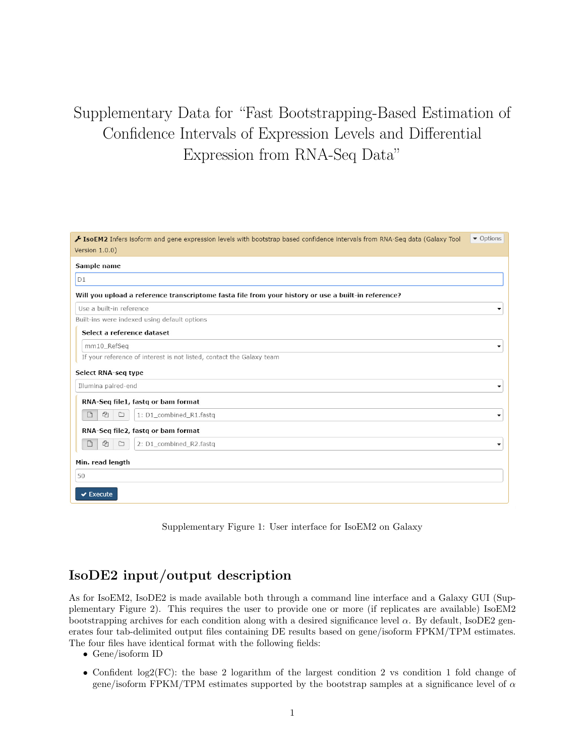# Supplementary Data for "Fast Bootstrapping-Based Estimation of Confidence Intervals of Expression Levels and Differential Expression from RNA-Seq Data"

| IsoEM2 Infers isoform and gene expression levels with bootstrap based confidence intervals from RNA-Seq data (Galaxy Tool | • Options                |
|---------------------------------------------------------------------------------------------------------------------------|--------------------------|
| Version 1.0.0)                                                                                                            |                          |
| Sample name                                                                                                               |                          |
| D1                                                                                                                        |                          |
| Will you upload a reference transcriptome fasta file from your history or use a built-in reference?                       |                          |
| Use a built-in reference                                                                                                  |                          |
| Built-ins were indexed using default options                                                                              |                          |
| Select a reference dataset                                                                                                |                          |
| mm10_RefSeq                                                                                                               |                          |
| If your reference of interest is not listed, contact the Galaxy team                                                      |                          |
| Select RNA-seq type                                                                                                       |                          |
| Illumina paired-end                                                                                                       |                          |
| RNA-Seq file1, fastq or bam format                                                                                        |                          |
| ఆ<br>1: D1_combined_R1.fastq<br>$\Box$<br>$\Box$                                                                          |                          |
| RNA-Seq file2, fastq or bam format                                                                                        |                          |
| €<br>$\Box$<br>2: D1_combined_R2.fastq<br>$\Box$                                                                          | $\overline{\phantom{a}}$ |
| Min. read length                                                                                                          |                          |
| 50                                                                                                                        |                          |
| $\sqrt{\frac{1}{2}}$ Execute                                                                                              |                          |
|                                                                                                                           |                          |

Supplementary Figure 1: User interface for IsoEM2 on Galaxy

# IsoDE2 input/output description

As for IsoEM2, IsoDE2 is made available both through a command line interface and a Galaxy GUI (Supplementary Figure 2). This requires the user to provide one or more (if replicates are available) IsoEM2 bootstrapping archives for each condition along with a desired significance level  $\alpha$ . By default, IsoDE2 generates four tab-delimited output files containing DE results based on gene/isoform FPKM/TPM estimates. The four files have identical format with the following fields:

- Gene/isoform ID
- Confident log2(FC): the base 2 logarithm of the largest condition 2 vs condition 1 fold change of gene/isoform FPKM/TPM estimates supported by the bootstrap samples at a significance level of  $\alpha$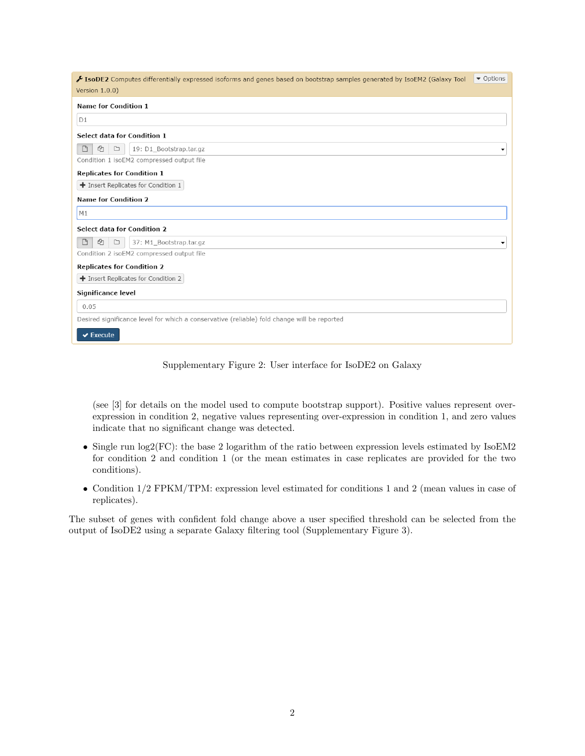| IsoDE2 Computes differentially expressed isoforms and genes based on bootstrap samples generated by IsoEM2 (Galaxy Tool<br>Version 1.0.0) | ▼ Options |
|-------------------------------------------------------------------------------------------------------------------------------------------|-----------|
| <b>Name for Condition 1</b>                                                                                                               |           |
| D1                                                                                                                                        |           |
| Select data for Condition 1                                                                                                               |           |
| ఆ<br>$\Box$<br>$\Box$<br>19: D1 Bootstrap.tar.gz                                                                                          |           |
| Condition 1 isoEM2 compressed output file                                                                                                 |           |
| <b>Replicates for Condition 1</b>                                                                                                         |           |
| $\blacklozenge$ Insert Replicates for Condition 1                                                                                         |           |
| <b>Name for Condition 2</b>                                                                                                               |           |
| M1                                                                                                                                        |           |
| Select data for Condition 2                                                                                                               |           |
| $\Box$<br>ఆ<br>$\Box$<br>37: M1 Bootstrap.tar.gz                                                                                          |           |
| Condition 2 isoEM2 compressed output file                                                                                                 |           |
| <b>Replicates for Condition 2</b>                                                                                                         |           |
| + Insert Replicates for Condition 2                                                                                                       |           |
| Significance level                                                                                                                        |           |
| 0.05                                                                                                                                      |           |
| Desired significance level for which a conservative (reliable) fold change will be reported                                               |           |
| $\blacktriangleright$ Execute                                                                                                             |           |

# Supplementary Figure 2: User interface for IsoDE2 on Galaxy

(see [3] for details on the model used to compute bootstrap support). Positive values represent overexpression in condition 2, negative values representing over-expression in condition 1, and zero values indicate that no significant change was detected.

- Single run log2(FC): the base 2 logarithm of the ratio between expression levels estimated by IsoEM2 for condition 2 and condition 1 (or the mean estimates in case replicates are provided for the two conditions).
- Condition 1/2 FPKM/TPM: expression level estimated for conditions 1 and 2 (mean values in case of replicates).

The subset of genes with confident fold change above a user specified threshold can be selected from the output of IsoDE2 using a separate Galaxy filtering tool (Supplementary Figure 3).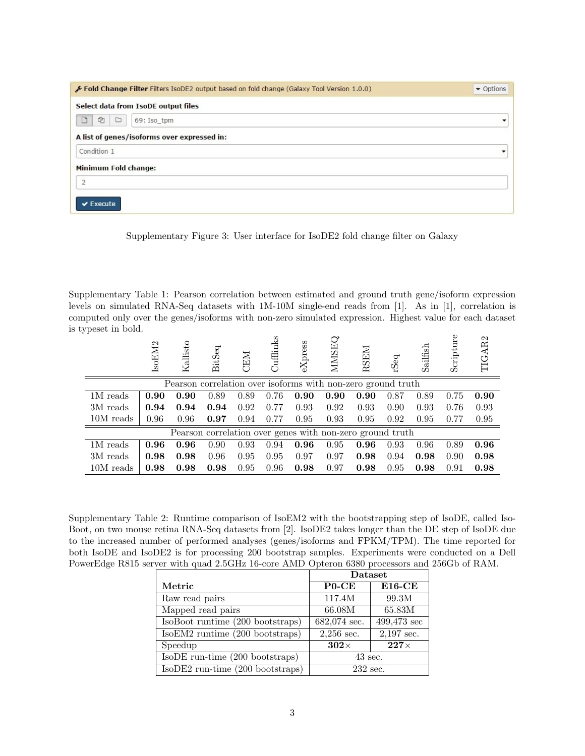| Fold Change Filter Filters IsoDE2 output based on fold change (Galaxy Tool Version 1.0.0) | • Options |
|-------------------------------------------------------------------------------------------|-----------|
| Select data from IsoDE output files                                                       |           |
| €<br>D<br>C<br>69: Iso tpm                                                                |           |
| A list of genes/isoforms over expressed in:                                               |           |
| Condition 1                                                                               |           |
| Minimum Fold change:                                                                      |           |
| $\overline{2}$                                                                            |           |
| $\vee$ Execute                                                                            |           |

Supplementary Figure 3: User interface for IsoDE2 fold change filter on Galaxy

Supplementary Table 1: Pearson correlation between estimated and ground truth gene/isoform expression levels on simulated RNA-Seq datasets with 1M-10M single-end reads from [1]. As in [1], correlation is computed only over the genes/isoforms with non-zero simulated expression. Highest value for each dataset is typeset in bold.

|           | IsoEM2 | Kallisto                                                     | BitSeq | CEM  | Cuffinks | $\exp$ | <b>NIMSEQ</b> | <b>RSEM</b> | rSeq | Sailfish | Scripture | TIGAR2 |
|-----------|--------|--------------------------------------------------------------|--------|------|----------|--------|---------------|-------------|------|----------|-----------|--------|
|           |        | Pearson correlation over isoforms with non-zero ground truth |        |      |          |        |               |             |      |          |           |        |
| 1M reads  | 0.90   | 0.90                                                         | 0.89   | 0.89 | 0.76     | 0.90   | 0.90          | 0.90        | 0.87 | 0.89     | 0.75      | 0.90   |
| 3M reads  | 0.94   | 0.94                                                         | 0.94   | 0.92 | 0.77     | 0.93   | 0.92          | 0.93        | 0.90 | 0.93     | 0.76      | 0.93   |
| 10M reads | 0.96   | 0.96                                                         | 0.97   | 0.94 | 0.77     | 0.95   | 0.93          | 0.95        | 0.92 | 0.95     | 0.77      | 0.95   |
|           |        | Pearson correlation over genes with non-zero ground truth    |        |      |          |        |               |             |      |          |           |        |
| 1M reads  | 0.96   | 0.96                                                         | 0.90   | 0.93 | 0.94     | 0.96   | 0.95          | 0.96        | 0.93 | 0.96     | 0.89      | 0.96   |
| 3M reads  | 0.98   | 0.98                                                         | 0.96   | 0.95 | 0.95     | 0.97   | 0.97          | 0.98        | 0.94 | 0.98     | 0.90      | 0.98   |
| 10M reads | 0.98   | 0.98                                                         | 0.98   | 0.95 | 0.96     | 0.98   | 0.97          | 0.98        | 0.95 | 0.98     | 0.91      | 0.98   |

Supplementary Table 2: Runtime comparison of IsoEM2 with the bootstrapping step of IsoDE, called Iso-Boot, on two mouse retina RNA-Seq datasets from [2]. IsoDE2 takes longer than the DE step of IsoDE due to the increased number of performed analyses (genes/isoforms and FPKM/TPM). The time reported for both IsoDE and IsoDE2 is for processing 200 bootstrap samples. Experiments were conducted on a Dell PowerEdge R815 server with quad 2.5GHz 16-core AMD Opteron 6380 processors and 256Gb of RAM.

|                                      | <b>Dataset</b> |               |  |  |
|--------------------------------------|----------------|---------------|--|--|
| Metric                               | $P0$ -CE       | $E16$ -CE     |  |  |
| Raw read pairs                       | 117.4M         | 99.3M         |  |  |
| Mapped read pairs                    | 66.08M         | 65.83M        |  |  |
| IsoBoot runtime (200 bootstraps)     | 682,074 sec.   | $499,473$ sec |  |  |
| IsoEM2 runtime (200 bootstraps)      | $2,256$ sec.   | $2,197$ sec.  |  |  |
| Speedup                              | $302\times$    | $227\times$   |  |  |
| IsoDE run-time (200 bootstraps)      | $43$ sec.      |               |  |  |
| $IsoDE2$ run-time $(200$ bootstraps) | $232$ sec.     |               |  |  |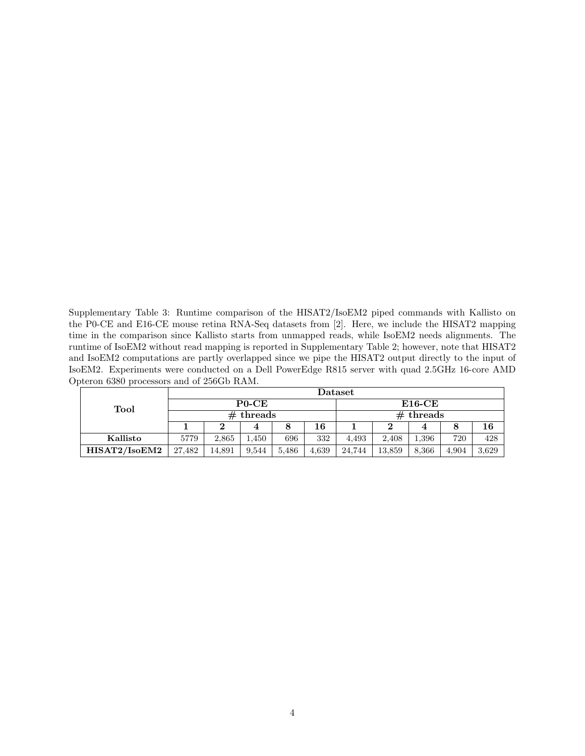Supplementary Table 3: Runtime comparison of the HISAT2/IsoEM2 piped commands with Kallisto on the P0-CE and E16-CE mouse retina RNA-Seq datasets from [2]. Here, we include the HISAT2 mapping time in the comparison since Kallisto starts from unmapped reads, while IsoEM2 needs alignments. The runtime of IsoEM2 without read mapping is reported in Supplementary Table 2; however, note that HISAT2 and IsoEM2 computations are partly overlapped since we pipe the HISAT2 output directly to the input of IsoEM2. Experiments were conducted on a Dell PowerEdge R815 server with quad 2.5GHz 16-core AMD Opteron 6380 processors and of 256Gb RAM.

| Tool          | Dataset |          |             |           |       |                 |        |       |       |       |  |
|---------------|---------|----------|-------------|-----------|-------|-----------------|--------|-------|-------|-------|--|
|               |         | $P0$ -CE |             | $E16$ -CE |       |                 |        |       |       |       |  |
|               |         |          | $#$ threads |           |       | $th$ reads<br># |        |       |       |       |  |
|               |         |          |             |           | 16    |                 |        |       |       | 16    |  |
| Kallisto      | 5779    | 2.865    | 1,450       | 696       | 332   | 4.493           | 2.408  | 1.396 | 720   | 428   |  |
| HISAT2/IsoEM2 | 27,482  | 14,891   | 9.544       | 5,486     | 4,639 | 24,744          | 13,859 | 8,366 | 4.904 | 3.629 |  |